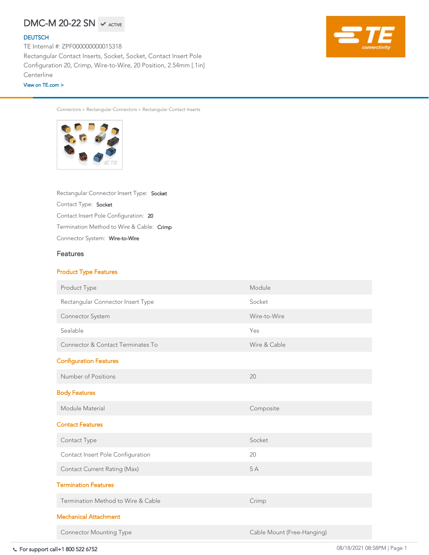# $DMC-M$  20–22 SN  $\;\checkmark$  active

### **[DEUTSCH](https://www.te.com/usa-en/plp/Zn9b.html)**

Connector System: Wire-to-Wire Termination Method to Wire & Cable: Crimp Contact Insert Pole Configuration: <sup>20</sup> Contact Type: Socket Rectangular Connector Insert Type: Socket

Connectors > Rectangular Connectors > Rectangular Contact Inserts



## Features

## Product Type Features

Rectangular Connector Insert Type Socket

Module

TE Internal #: ZPF000000000015318 Rectangular Contact Inserts, Socket, Socket, Contact Insert Pole Configuration 20, Crimp, Wire-to-Wire, 20 Position, 2.54mm [.1in] **Centerline** 

For support call+1 800 522 6752 08/18/2021 08:58PM | Page 1 Housing Features

| <b>Connector System</b>                      | Wire-to-Wire               |
|----------------------------------------------|----------------------------|
| Sealable                                     | Yes                        |
| <b>Connector &amp; Contact Terminates To</b> | Wire & Cable               |
| <b>Configuration Features</b>                |                            |
| Number of Positions                          | 20                         |
| <b>Body Features</b>                         |                            |
| Module Material                              | Composite                  |
| <b>Contact Features</b>                      |                            |
| <b>Contact Type</b>                          | Socket                     |
| Contact Insert Pole Configuration            | 20                         |
| <b>Contact Current Rating (Max)</b>          | 5A                         |
| <b>Termination Features</b>                  |                            |
| Termination Method to Wire & Cable           | Crimp                      |
| <b>Mechanical Attachment</b>                 |                            |
| <b>Connector Mounting Type</b>               | Cable Mount (Free-Hanging) |

[View on TE.com >](https://www.te.com/usa-en/product-ZPF000000000015318.html)

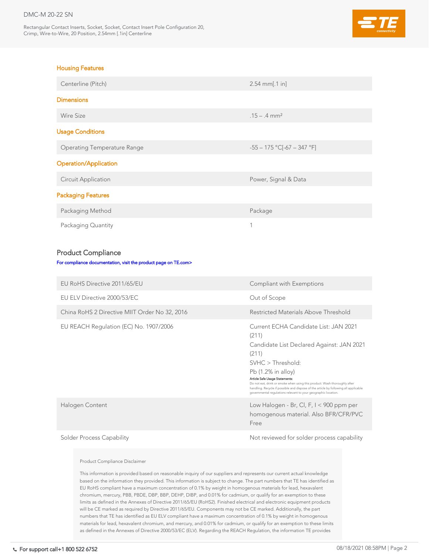## DMC-M 20-22 SN

Rectangular Contact Inserts, Socket, Socket, Contact Insert Pole Configuration 20, Crimp, Wire-to-Wire, 20 Position, 2.54mm [.1in] Centerline



# EU REACH Regulation (EC) No. 1907/2006 Current ECHA Candidate List: JAN 2021 (211) Candidate List Declared Against: JAN 2021 (211) SVHC > Threshold: Pb (1.2% in alloy) Article Safe Usage Statements: Do not eat, drink or smoke when using this product. Wash thoroughly after handling. Recycle if possible and dispose of the article by following all applicable governmental regulations relevant to your geographic location. Halogen Content Low Halogen - Br, Cl, F, I < 900 ppm per homogenous material. Also BFR/CFR/PVC Free Solder Process Capability and the Mot reviewed for solder process capability

| <b>Housing Features</b>                                         |                                  |
|-----------------------------------------------------------------|----------------------------------|
| Centerline (Pitch)                                              | $2.54$ mm[.1 in]                 |
| <b>Dimensions</b>                                               |                                  |
| <b>Wire Size</b>                                                | $.15 - .4$ mm <sup>2</sup>       |
| <b>Usage Conditions</b>                                         |                                  |
| <b>Operating Temperature Range</b>                              | $-55 - 175$ °C[-67 - 347 °F]     |
| <b>Operation/Application</b>                                    |                                  |
| <b>Circuit Application</b>                                      | Power, Signal & Data             |
| <b>Packaging Features</b>                                       |                                  |
| Packaging Method                                                | Package                          |
| Packaging Quantity                                              |                                  |
| <b>Product Compliance</b>                                       |                                  |
| For compliance documentation, visit the product page on TE.com> |                                  |
| EU RoHS Directive 2011/65/EU                                    | <b>Compliant with Exemptions</b> |
| EU ELV Directive 2000/53/EC                                     | Out of Scope                     |
|                                                                 |                                  |

China RoHS 2 Directive MIIT Order No 32, 2016 Restricted Materials Above Threshold

## Product Compliance Disclaimer

This information is provided based on reasonable inquiry of our suppliers and represents our current actual knowledge based on the information they provided. This information is subject to change. The part numbers that TE has identified as EU RoHS compliant have a maximum concentration of 0.1% by weight in homogenous materials for lead, hexavalent chromium, mercury, PBB, PBDE, DBP, BBP, DEHP, DIBP, and 0.01% for cadmium, or qualify for an exemption to these limits as defined in the Annexes of Directive 2011/65/EU (RoHS2). Finished electrical and electronic equipment products will be CE marked as required by Directive 2011/65/EU. Components may not be CE marked. Additionally, the part numbers that TE has identified as EU ELV compliant have a maximum concentration of 0.1% by weight in homogenous materials for lead, hexavalent chromium, and mercury, and 0.01% for cadmium, or qualify for an exemption to these limits as defined in the Annexes of Directive 2000/53/EC (ELV). Regarding the REACH Regulation, the information TE provides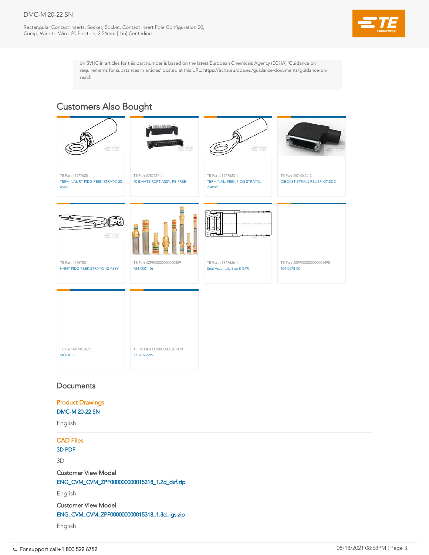## DMC-M 20-22 SN

Rectangular Contact Inserts, Socket, Socket, Contact Insert Pole Configuration 20, Crimp, Wire-to-Wire, 20 Position, 2.54mm [.1in] Centerline



on SVHC in articles for this part number is based on the latest European Chemicals Agency (ECHA) 'Guidance on requirements for substances in articles' posted at this URL: https://echa.europa.eu/guidance-documents/guidance-onreach

| TE Part #459823-ZZ<br><b>MODULE</b> | TE Part #ZPF000000000201420<br>732-8260-99 |
|-------------------------------------|--------------------------------------------|

## **Documents**



# Customers Also Bought

Product Drawings [DMC-M 20-22 SN](https://www.te.com/commerce/DocumentDelivery/DDEController?Action=showdoc&DocId=Customer+Drawing%7FDMC-M_20-22_SX%7FA%7Fpdf%7FEnglish%7FENG_CD_DMC-M_20-22_SX_A.pdf%7FZPF000000000015318)

English

CAD Files

[3D PDF](https://www.te.com/commerce/DocumentDelivery/DDEController?Action=showdoc&DocId=Customer+View+Model%7FCVM_ZPF000000000015318%7F1%7Fpdf%7F3D%7F3D_CVM_CVM_ZPF000000000015318_1.pdf%7FZPF000000000015318)

3D

Customer View Model [ENG\\_CVM\\_CVM\\_ZPF000000000015318\\_1.2d\\_dxf.zip](https://www.te.com/commerce/DocumentDelivery/DDEController?Action=showdoc&DocId=Customer+View+Model%7FCVM_ZPF000000000015318%7F1%7F2d_dxf.zip%7FEnglish%7FENG_CVM_CVM_ZPF000000000015318_1.2d_dxf.zip%7FZPF000000000015318) English Customer View Model [ENG\\_CVM\\_CVM\\_ZPF000000000015318\\_1.3d\\_igs.zip](https://www.te.com/commerce/DocumentDelivery/DDEController?Action=showdoc&DocId=Customer+View+Model%7FCVM_ZPF000000000015318%7F1%7F3d_igs.zip%7FEnglish%7FENG_CVM_CVM_ZPF000000000015318_1.3d_igs.zip%7FZPF000000000015318)

English